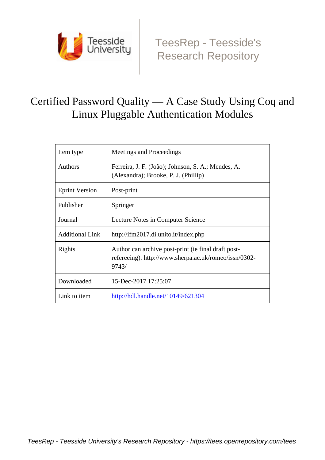

[TeesRep - Teesside's](https://tees.openrepository.com/tees) [Research Repository](https://tees.openrepository.com/tees)

# Certified Password Quality — A Case Study Using Coq and Linux Pluggable Authentication Modules

| Item type              | Meetings and Proceedings                                                                                               |  |
|------------------------|------------------------------------------------------------------------------------------------------------------------|--|
| <b>Authors</b>         | Ferreira, J. F. (João); Johnson, S. A.; Mendes, A.<br>(Alexandra); Brooke, P. J. (Phillip)                             |  |
| <b>Eprint Version</b>  | Post-print                                                                                                             |  |
| Publisher              | Springer                                                                                                               |  |
| Journal                | Lecture Notes in Computer Science                                                                                      |  |
| <b>Additional Link</b> | http://ifm2017.di.unito.it/index.php                                                                                   |  |
| Rights                 | Author can archive post-print (ie final draft post-<br>referenting). http://www.sherpa.ac.uk/romeo/issn/0302-<br>9743/ |  |
| Downloaded             | 15-Dec-2017 17:25:07                                                                                                   |  |
| Link to item           | http://hdl.handle.net/10149/621304                                                                                     |  |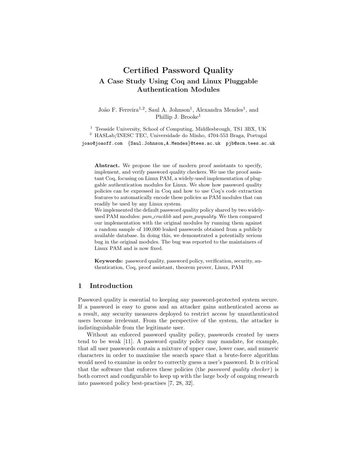## Certified Password Quality A Case Study Using Coq and Linux Pluggable Authentication Modules

João F. Ferreira<sup>1,2</sup>, Saul A. Johnson<sup>1</sup>, Alexandra Mendes<sup>1</sup>, and Phillip J. Brooke<sup>1</sup>

 $^{\rm 1}$  Teesside University, School of Computing, Middlesbrough, TS1 3BX, UK <sup>2</sup> HASLab/INESC TEC, Universidade do Minho, 4704-553 Braga, Portugal joao@joaoff.com {Saul.Johnson,A.Mendes}@tees.ac.uk pjb@scm.tees.ac.uk

Abstract. We propose the use of modern proof assistants to specify, implement, and verify password quality checkers. We use the proof assistant Coq, focusing on Linux PAM, a widely-used implementation of pluggable authentication modules for Linux. We show how password quality policies can be expressed in Coq and how to use Coq's code extraction features to automatically encode these policies as PAM modules that can readily be used by any Linux system.

We implemented the default password quality policy shared by two widelyused PAM modules:  $pam\_cracklib$  and  $pam\_pwayuality$ . We then compared our implementation with the original modules by running them against a random sample of 100,000 leaked passwords obtained from a publicly available database. In doing this, we demonstrated a potentially serious bug in the original modules. The bug was reported to the maintainers of Linux PAM and is now fixed.

Keywords: password quality, password policy, verification, security, authentication, Coq, proof assistant, theorem prover, Linux, PAM

## 1 Introduction

Password quality is essential to keeping any password-protected system secure. If a password is easy to guess and an attacker gains authenticated access as a result, any security measures deployed to restrict access by unauthenticated users become irrelevant. From the perspective of the system, the attacker is indistinguishable from the legitimate user.

Without an enforced password quality policy, passwords created by users tend to be weak [11]. A password quality policy may mandate, for example, that all user passwords contain a mixture of upper case, lower case, and numeric characters in order to maximise the search space that a brute-force algorithm would need to examine in order to correctly guess a user's password. It is critical that the software that enforces these policies (the *password quality checker*) is both correct and configurable to keep up with the large body of ongoing research into password policy best-practises [7, 28, 32].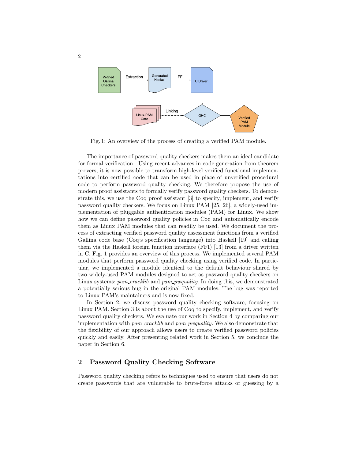

Fig. 1: An overview of the process of creating a verified PAM module.

The importance of password quality checkers makes them an ideal candidate for formal verification. Using recent advances in code generation from theorem provers, it is now possible to transform high-level verified functional implementations into certified code that can be used in place of unverified procedural code to perform password quality checking. We therefore propose the use of modern proof assistants to formally verify password quality checkers. To demonstrate this, we use the Coq proof assistant [3] to specify, implement, and verify password quality checkers. We focus on Linux PAM [25, 26], a widely-used implementation of pluggable authentication modules (PAM) for Linux. We show how we can define password quality policies in Coq and automatically encode them as Linux PAM modules that can readily be used. We document the process of extracting verified password quality assessment functions from a verified Gallina code base (Coq's specification language) into Haskell [19] and calling them via the Haskell foreign function interface (FFI) [13] from a driver written in C. Fig. 1 provides an overview of this process. We implemented several PAM modules that perform password quality checking using verified code. In particular, we implemented a module identical to the default behaviour shared by two widely-used PAM modules designed to act as password quality checkers on Linux systems: pam\_cracklib and pam\_pwquality. In doing this, we demonstrated a potentially serious bug in the original PAM modules. The bug was reported to Linux PAM's maintainers and is now fixed.

In Section 2, we discuss password quality checking software, focusing on Linux PAM. Section 3 is about the use of Coq to specify, implement, and verify password quality checkers. We evaluate our work in Section 4 by comparing our implementation with pam\_cracklib and pam\_pwquality. We also demonstrate that the flexibility of our approach allows users to create verified password policies quickly and easily. After presenting related work in Section 5, we conclude the paper in Section 6.

## 2 Password Quality Checking Software

Password quality checking refers to techniques used to ensure that users do not create passwords that are vulnerable to brute-force attacks or guessing by a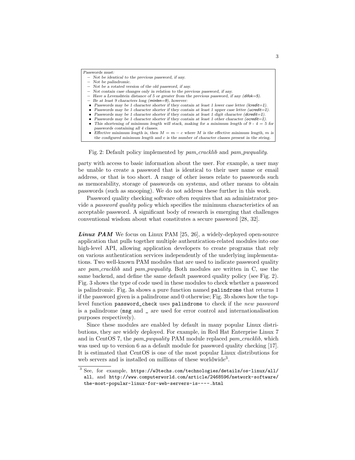Passwords must:

|  | - Not be identical to the previous password, if any.                                                  |  |  |
|--|-------------------------------------------------------------------------------------------------------|--|--|
|  | $-$ Not be palindromic.                                                                               |  |  |
|  | - Not be a rotated version of the old password, if any.                                               |  |  |
|  | - Not contain case changes only in relation to the previous password, if any.                         |  |  |
|  | - Have a Levenshtein distance of 5 or greater from the previous password, if any ( $d$ ifo $k=5$ ).   |  |  |
|  | - Be at least 9 characters long (minlen=9), however:                                                  |  |  |
|  | • Passwords may be 1 character shorter if they contain at least 1 lower case letter ( $ c $ redit=1). |  |  |
|  | • Passwords may be 1 character shorter if they contain at least 1 upper case letter (ucredit=1).      |  |  |
|  | • Passwords may be 1 character shorter if they contain at least 1 digit character (dcredit=1).        |  |  |
|  | • Passwords may be 1 character shorter if they contain at least 1 other character (ocredit=1).        |  |  |
|  | • This shortening of minimum length will stack, making for a minimum length of $9 - 4 = 5$ for        |  |  |
|  | passwords containing all 4 classes.                                                                   |  |  |
|  | • Effective minimum length is, then $M = m - c$ where M is the effective minimum length, m is         |  |  |
|  | the configured minimum length and $c$ is the number of character classes present in the string.       |  |  |
|  |                                                                                                       |  |  |

Fig. 2: Default policy implemented by  $pam\_cracklib$  and  $pam\_pwayuality$ .

party with access to basic information about the user. For example, a user may be unable to create a password that is identical to their user name or email address, or that is too short. A range of other issues relate to passwords such as memorability, storage of passwords on systems, and other means to obtain passwords (such as snooping). We do not address these further in this work.

Password quality checking software often requires that an administrator provide a password quality policy which specifies the minimum characteristics of an acceptable password. A significant body of research is emerging that challenges conventional wisdom about what constitutes a secure password [28, 32].

**Linux PAM** We focus on Linux PAM  $[25, 26]$ , a widely-deployed open-source application that pulls together multiple authentication-related modules into one high-level API, allowing application developers to create programs that rely on various authentication services independently of the underlying implementations. Two well-known PAM modules that are used to indicate password quality are pam\_cracklib and pam\_pwquality. Both modules are written in C, use the same backend, and define the same default password quality policy (see Fig. 2). Fig. 3 shows the type of code used in these modules to check whether a password is palindromic. Fig. 3a shows a pure function named palindrome that returns 1 if the password given is a palindrome and 0 otherwise; Fig. 3b shows how the toplevel function password\_check uses palindrome to check if the new password is a palindrome (msg and \_ are used for error control and internationalisation purposes respectively).

Since these modules are enabled by default in many popular Linux distributions, they are widely deployed. For example, in Red Hat Enterprise Linux 7 and in CentOS 7, the pam\_pwquality PAM module replaced pam\_cracklib, which was used up to version 6 as a default module for password quality checking [17]. It is estimated that CentOS is one of the most popular Linux distributions for web servers and is installed on millions of these worldwide<sup>3</sup>.

<sup>3</sup> See, for example, https://w3techs.com/technologies/details/os-linux/all/ all, and http://www.computerworld.com/article/2468596/network-software/ the-most-popular-linux-for-web-servers-is----.html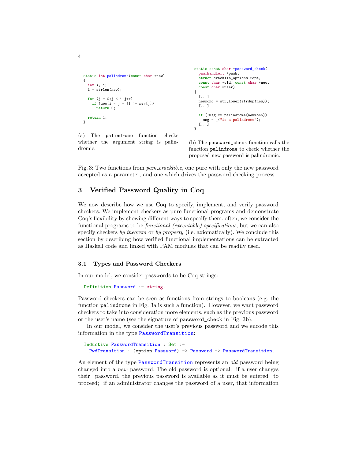```
static int palindrome(const char *new)
{
  int i, j;
  i = strlen(new);for (j = 0; j < i; j++)<br>
if (new[i - j - 1] != new[j])<br>
return 0;
  return 1;
}
```
(a) The palindrome function checks whether the argument string is palindromic.

```
static const char *password_check(
 pam_handle_t *pamh,
  struct cracklib_options *opt,
  const char *old, const char *new,
  const char *user)
{
  [...]
  newmono = str_lower(strdup(new));
  [...]
  if (!msg && palindrome(newmono))
  msg = \_("is a palindrome");<br>[...]
}
```
(b) The password\_check function calls the function palindrome to check whether the proposed new password is palindromic.

Fig. 3: Two functions from  $pam\_cracklib.c$ , one pure with only the new password accepted as a parameter, and one which drives the password checking process.

## 3 Verified Password Quality in Coq

We now describe how we use Coq to specify, implement, and verify password checkers. We implement checkers as pure functional programs and demonstrate Coq's flexibility by showing different ways to specify them: often, we consider the functional programs to be functional (executable) specifications, but we can also specify checkers by theorem or by property (i.e. axiomatically). We conclude this section by describing how verified functional implementations can be extracted as Haskell code and linked with PAM modules that can be readily used.

#### 3.1 Types and Password Checkers

In our model, we consider passwords to be Coq strings:

```
Definition Password := string.
```
Password checkers can be seen as functions from strings to booleans (e.g. the function palindrome in Fig. 3a is such a function). However, we want password checkers to take into consideration more elements, such as the previous password or the user's name (see the signature of password\_check in Fig. 3b).

In our model, we consider the user's previous password and we encode this information in the type PasswordTransition:

```
Inductive PasswordTransition : Set :=
 PwdTransition : (option Password) -> Password -> PasswordTransition.
```
An element of the type PasswordTransition represents an old password being changed into a new password. The old password is optional: if a user changes their password, the previous password is available as it must be entered to proceed; if an administrator changes the password of a user, that information

4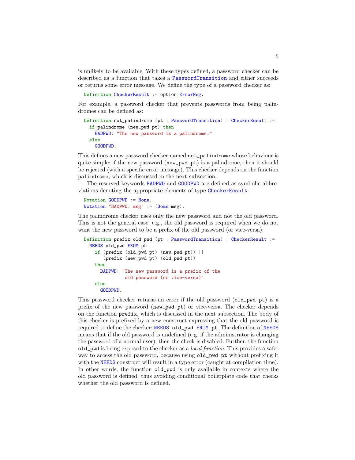is unlikely to be available. With these types defined, a password checker can be described as a function that takes a PasswordTransition and either succeeds or returns some error message. We define the type of a password checker as:

Definition CheckerResult := option ErrorMsg.

For example, a password checker that prevents passwords from being palindromes can be defined as:

```
Definition not_palindrome (pt : PasswordTransition) : CheckerResult :=
  if palindrome (new_pwd pt) then
    BADPWD: "The new password is a palindrome."
  else
    GOODPWD.
```
This defines a new password checker named not\_palindrome whose behaviour is quite simple: if the new password (new\_pwd pt) is a palindrome, then it should be rejected (with a specific error message). This checker depends on the function palindrome, which is discussed in the next subsection.

The reserved keywords BADPWD and GOODPWD are defined as symbolic abbreviations denoting the appropriate elements of type CheckerResult:

```
Notation GOODPWD := None.
Notation "BADPWD: msg" := (Some msg).
```
The palindrome checker uses only the new password and not the old password. This is not the general case: e.g., the old password is required when we do not want the new password to be a prefix of the old password (or vice-versa):

```
Definition prefix_old_pwd (pt : PasswordTransition) : CheckerResult :=
 NEEDS old_pwd FROM pt
    if (prefix (old_pwd pt) (new_pwd pt)) ||
       (prefix (new_pwd pt) (old_pwd pt))
    then
      BADPWD: "The new password is a prefix of the
               old password (or vice-versa)"
    else
      GOODPWD.
```
This password checker returns an error if the old password (old\_pwd pt) is a prefix of the new password (new\_pwd pt) or vice-versa. The checker depends on the function prefix, which is discussed in the next subsection. The body of this checker is prefixed by a new construct expressing that the old password is required to define the checker: NEEDS old\_pwd FROM pt. The definition of NEEDS means that if the old password is undefined (e.g. if the administrator is changing the password of a normal user), then the check is disabled. Further, the function old\_pwd is being exposed to the checker as a *local function*. This provides a safer way to access the old password, because using old\_pwd pt without prefixing it with the NEEDS construct will result in a type error (caught at compilation time). In other words, the function old\_pwd is only available in contexts where the old password is defined, thus avoiding conditional boilerplate code that checks whether the old password is defined.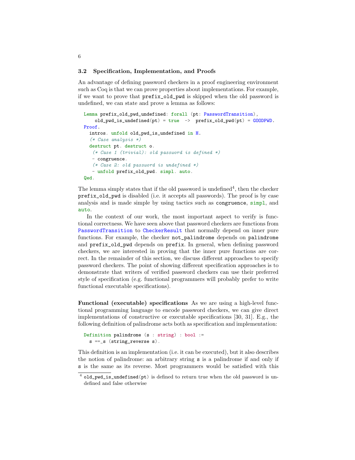#### 3.2 Specification, Implementation, and Proofs

An advantage of defining password checkers in a proof engineering environment such as Coq is that we can prove properties about implementations. For example, if we want to prove that prefix\_old\_pwd is skipped when the old password is undefined, we can state and prove a lemma as follows:

```
Lemma prefix_old_pwd_undefined: forall (pt: PasswordTransition),
    old\_pwd_is\_undefined(pt) = true -> prefix\_old\_pwd(pt) = GOODPWD.Proof.
  intros. unfold old_pwd_is_undefined in H.
  (* Case analysis *)
 destruct pt. destruct o.
   (* Case 1 (trivial): old password is defined *)
   - congruence.
   (* Case 2: old password is undefined *)- unfold prefix_old_pwd. simpl. auto.
Qed.
```
The lemma simply states that if the old password is undefined<sup>4</sup>, then the checker prefix\_old\_pwd is disabled (i.e. it accepts all passwords). The proof is by case analysis and is made simple by using tactics such as congruence, simpl, and auto.

In the context of our work, the most important aspect to verify is functional correctness. We have seen above that password checkers are functions from PasswordTransition to CheckerResult that normally depend on inner pure functions. For example, the checker not\_palindrome depends on palindrome and prefix\_old\_pwd depends on prefix. In general, when defining password checkers, we are interested in proving that the inner pure functions are correct. In the remainder of this section, we discuss different approaches to specify password checkers. The point of showing different specification approaches is to demonstrate that writers of verified password checkers can use their preferred style of specification (e.g. functional programmers will probably prefer to write functional executable specifications).

Functional (executable) specifications As we are using a high-level functional programming language to encode password checkers, we can give direct implementations of constructive or executable specifications [30, 31]. E.g., the following definition of palindrome acts both as specification and implementation:

```
Definition palindrome (s : string) : bool :=
  s ==_s (string_reverse s).
```
This definition is an implementation (i.e. it can be executed), but it also describes the notion of palindrome: an arbitrary string s is a palindrome if and only if s is the same as its reverse. Most programmers would be satisfied with this

6

 $^4$  old\_pwd\_is\_undefined(pt) is defined to return true when the old password is undefined and false otherwise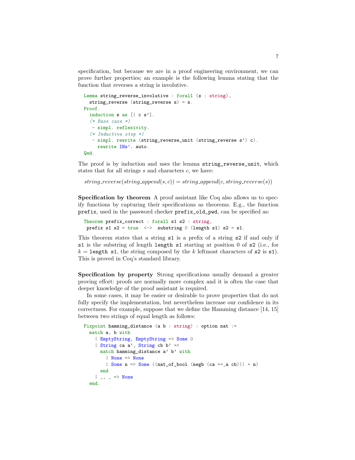specification, but because we are in a proof engineering environment, we can prove further properties; an example is the following lemma stating that the function that reverses a string is involutive.

```
Lemma string_reverse_involutive : forall (s : string),
 string_reverse (string_reverse s) = s.
Proof.
 induction s as [| c s'].
  (* Base case *)
   - simpl. reflexivity.
  (* Inductive step *)
   - simpl. rewrite (string_reverse_unit (string_reverse s') c).
     rewrite IHs'. auto.
Qed.
```
The proof is by induction and uses the lemma string\_reverse\_unit, which states that for all strings  $s$  and characters  $c$ , we have:

 $string\_reverse(string\_append(s, c)) = string\_append(c, string\_reverse(s))$ 

Specification by theorem A proof assistant like Coq also allows us to specify functions by capturing their specifications as theorems. E.g., the function prefix, used in the password checker prefix\_old\_pwd, can be specified as:

```
Theorem prefix_correct : forall s1 s2 : string,
prefix s1 s2 = true \langle - \rangle substring 0 (length s1) s2 = s1.
```
This theorem states that a string s1 is a prefix of a string s2 if and only if s1 is the substring of length length s1 starting at position 0 of s2 (i.e., for  $k =$  length s1, the string composed by the k leftmost characters of s2 is s1). This is proved in Coq's standard library.

Specification by property Strong specifications usually demand a greater proving effort: proofs are normally more complex and it is often the case that deeper knowledge of the proof assistant is required.

In some cases, it may be easier or desirable to prove properties that do not fully specify the implementation, but nevertheless increase our confidence in its correctness. For example, suppose that we define the Hamming distance [14, 15] between two strings of equal length as follows:

```
Fixpoint hamming_distance (a b : string) : option nat :=
 match a, b with
    | EmptyString, EmptyString => Some 0
    | String ca a', String cb b' =>
     match hamming_distance a' b' with
       | None => None
        | Some n \Rightarrow Some ((nat_of_bood (neg =_a cb))) + n)end
    |_{-}, - \geq None
  end.
```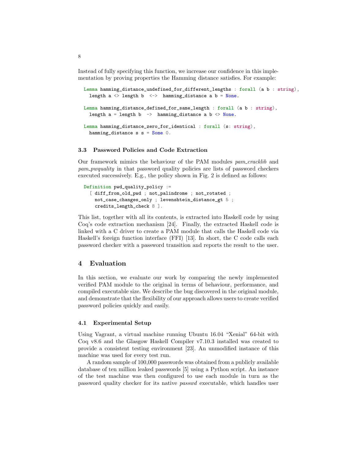Instead of fully specifying this function, we increase our confidence in this implementation by proving properties the Hamming distance satisfies. For example:

```
Lemma hamming_distance_undefined_for_different_lengths : forall (a b : string),
  length a \leq \text{length } b \leq \text{hamming}_d istance a \ b = \text{None}.
Lemma hamming_distance_defined_for_same_length : forall (a b : string),
  length a = length b \rightarrow hamming_distance a b \leftrightarrow None.
Lemma hamming_distance_zero_for_identical : forall (s: string),
  hamming_distance s = Some 0.
```
#### 3.3 Password Policies and Code Extraction

Our framework mimics the behaviour of the PAM modules  $pam\_cracklib$  and pam *pwquality* in that password quality policies are lists of password checkers executed successively. E.g., the policy shown in Fig. 2 is defined as follows:

```
Definition pwd_quality_policy :=
  [ diff_from_old_pwd ; not_palindrome ; not_rotated ;
    not_case_changes_only ; levenshtein_distance_gt 5 ;
    credits_length_check 8 ].
```
This list, together with all its contents, is extracted into Haskell code by using Coq's code extraction mechanism [24]. Finally, the extracted Haskell code is linked with a C driver to create a PAM module that calls the Haskell code via Haskell's foreign function interface (FFI) [13]. In short, the C code calls each password checker with a password transition and reports the result to the user.

#### 4 Evaluation

In this section, we evaluate our work by comparing the newly implemented verified PAM module to the original in terms of behaviour, performance, and compiled executable size. We describe the bug discovered in the original module, and demonstrate that the flexibility of our approach allows users to create verified password policies quickly and easily.

#### 4.1 Experimental Setup

Using Vagrant, a virtual machine running Ubuntu 16.04 "Xenial" 64-bit with Coq v8.6 and the Glasgow Haskell Compiler v7.10.3 installed was created to provide a consistent testing environment [23]. An unmodified instance of this machine was used for every test run.

A random sample of 100,000 passwords was obtained from a publicly available database of ten million leaked passwords [5] using a Python script. An instance of the test machine was then configured to use each module in turn as the password quality checker for its native passwd executable, which handles user

8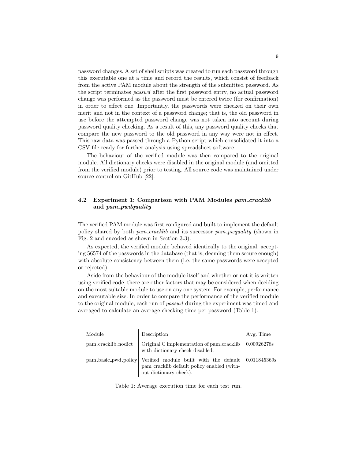password changes. A set of shell scripts was created to run each password through this executable one at a time and record the results, which consist of feedback from the active PAM module about the strength of the submitted password. As the script terminates passwd after the first password entry, no actual password change was performed as the password must be entered twice (for confirmation) in order to effect one. Importantly, the passwords were checked on their own merit and not in the context of a password change; that is, the old password in use before the attempted password change was not taken into account during password quality checking. As a result of this, any password quality checks that compare the new password to the old password in any way were not in effect. This raw data was passed through a Python script which consolidated it into a CSV file ready for further analysis using spreadsheet software.

The behaviour of the verified module was then compared to the original module. All dictionary checks were disabled in the original module (and omitted from the verified module) prior to testing. All source code was maintained under source control on GitHub [22].

## 4.2 Experiment 1: Comparison with PAM Modules pam\_cracklib and pam\_pwdquality

The verified PAM module was first configured and built to implement the default policy shared by both *pam\_cracklib* and its successor *pam\_pwquality* (shown in Fig. 2 and encoded as shown in Section 3.3).

As expected, the verified module behaved identically to the original, accepting 56574 of the passwords in the database (that is, deeming them secure enough) with absolute consistency between them (i.e. the same passwords were accepted or rejected).

Aside from the behaviour of the module itself and whether or not it is written using verified code, there are other factors that may be considered when deciding on the most suitable module to use on any one system. For example, performance and executable size. In order to compare the performance of the verified module to the original module, each run of passwd during the experiment was timed and averaged to calculate an average checking time per password (Table 1).

| Module              | Description                                                                                                                                                  | Avg. Time |
|---------------------|--------------------------------------------------------------------------------------------------------------------------------------------------------------|-----------|
| pam_cracklib_nodict | Original C implementation of pam_cracklib $\mid 0.00926278s$<br>with dictionary check disabled.                                                              |           |
|                     | $\text{pam\_basic\_pwd\_policy}$ Verified module built with the default 0.011845369s<br>pam_cracklib default policy enabled (with-<br>out dictionary check). |           |

Table 1: Average execution time for each test run.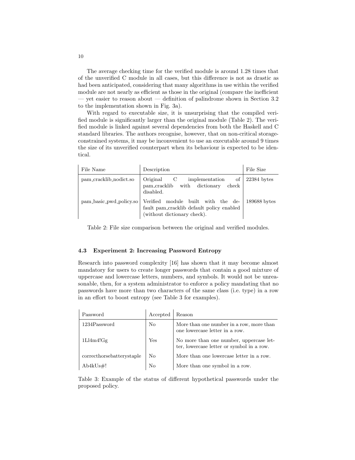The average checking time for the verified module is around 1.28 times that of the unverified C module in all cases, but this difference is not as drastic as had been anticipated, considering that many algorithms in use within the verified module are not nearly as efficient as those in the original (compare the inefficient — yet easier to reason about — definition of palindrome shown in Section 3.2 to the implementation shown in Fig. 3a).

With regard to executable size, it is unsurprising that the compiled verified module is significantly larger than the original module (Table 2). The verified module is linked against several dependencies from both the Haskell and C standard libraries. The authors recognise, however, that on non-critical storageconstrained systems, it may be inconvenient to use an executable around 9 times the size of its unverified counterpart when its behaviour is expected to be identical.

| File Name               | Description                                                                                                    | File Size     |
|-------------------------|----------------------------------------------------------------------------------------------------------------|---------------|
| pam_cracklib_nodict.so  | Original C implementation of<br>pam_cracklib with dictionary check<br>disabled.                                | $22384$ bytes |
| pam_basic_pwd_policy.so | Verified module built with the de-<br>fault pam_cracklib default policy enabled<br>(without dictionary check). | 189688 bytes  |

Table 2: File size comparison between the original and verified modules.

#### 4.3 Experiment 2: Increasing Password Entropy

Research into password complexity [16] has shown that it may become almost mandatory for users to create longer passwords that contain a good mixture of uppercase and lowercase letters, numbers, and symbols. It would not be unreasonable, then, for a system administrator to enforce a policy mandating that no passwords have more than two characters of the same class (i.e. type) in a row in an effort to boost entropy (see Table 3 for examples).

| Password                  | Accepted       | Reason                                                                               |
|---------------------------|----------------|--------------------------------------------------------------------------------------|
| 1234Password              | No             | More than one number in a row, more than<br>one lowercase letter in a row.           |
| 1L14m4!Gg                 | Yes            | No more than one number, uppercase let-<br>ter, lowercase letter or symbol in a row. |
| correcthorsebatterystaple | No             | More than one lowercase letter in a row.                                             |
| Ab4kUs#!                  | N <sub>0</sub> | More than one symbol in a row.                                                       |

Table 3: Example of the status of different hypothetical passwords under the proposed policy.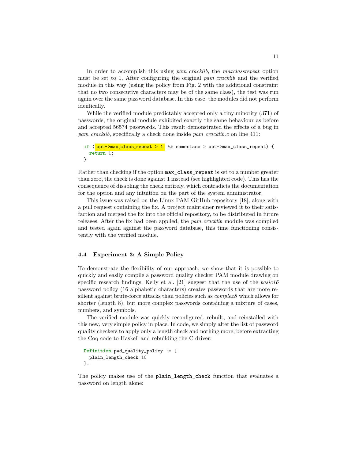In order to accomplish this using *pam\_cracklib*, the maxclassrepeat option must be set to 1. After configuring the original pam\_cracklib and the verified module in this way (using the policy from Fig. 2 with the additional constraint that no two consecutive characters may be of the same class), the test was run again over the same password database. In this case, the modules did not perform identically.

While the verified module predictably accepted only a tiny minority (371) of passwords, the original module exhibited exactly the same behaviour as before and accepted 56574 passwords. This result demonstrated the effects of a bug in  $pam\_cracklib$ , specifically a check done inside  $pam\_cracklib.c$  on line 411:

```
if ( opt->max_class_repeat > 1 && sameclass > opt->max_class_repeat) {
 return 1;
}
```
Rather than checking if the option max\_class\_repeat is set to a number greater than zero, the check is done against 1 instead (see highlighted code). This has the consequence of disabling the check entirely, which contradicts the documentation for the option and any intuition on the part of the system administrator.

This issue was raised on the Linux PAM GitHub repository [18], along with a pull request containing the fix. A project maintainer reviewed it to their satisfaction and merged the fix into the official repository, to be distributed in future releases. After the fix had been applied, the *pam\_cracklib* module was compiled and tested again against the password database, this time functioning consistently with the verified module.

#### 4.4 Experiment 3: A Simple Policy

To demonstrate the flexibility of our approach, we show that it is possible to quickly and easily compile a password quality checker PAM module drawing on specific research findings. Kelly et al. [21] suggest that the use of the  $basic16$ password policy (16 alphabetic characters) creates passwords that are more resilient against brute-force attacks than policies such as complex8 which allows for shorter (length 8), but more complex passwords containing a mixture of cases, numbers, and symbols.

The verified module was quickly reconfigured, rebuilt, and reinstalled with this new, very simple policy in place. In code, we simply alter the list of password quality checkers to apply only a length check and nothing more, before extracting the Coq code to Haskell and rebuilding the C driver:

```
Definition pwd_quality_policy := [
  plain_length_check 16
].
```
The policy makes use of the plain\_length\_check function that evaluates a password on length alone: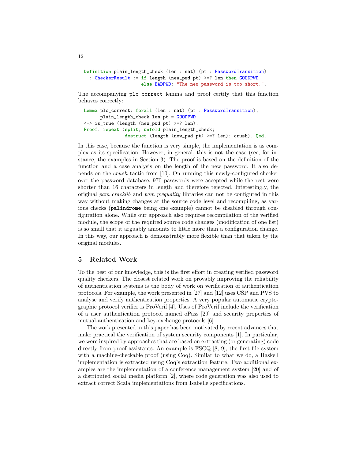```
Definition plain_length_check (len : nat) (pt : PasswordTransition)
  : CheckerResult := if length (new_pwd pt) >=? len then GOODPWD
                     else BADPWD: "The new password is too short.".
```
The accompanying plc\_correct lemma and proof certify that this function behaves correctly:

```
Lemma plc_correct: forall (len : nat) (pt : PasswordTransition),
     plain_length_check len pt = GOODPWD
<-> is_true (length (new_pwd pt) >=? len).
Proof. repeat (split; unfold plain_length_check;
               destruct (length (new_pwd pt) >=? len); crush). Qed.
```
In this case, because the function is very simple, the implementation is as complex as its specification. However, in general, this is not the case (see, for instance, the examples in Section 3). The proof is based on the definition of the function and a case analysis on the length of the new password. It also depends on the crush tactic from [10]. On running this newly-configured checker over the password database, 970 passwords were accepted while the rest were shorter than 16 characters in length and therefore rejected. Interestingly, the original pam\_cracklib and pam\_pwquality libraries can not be configured in this way without making changes at the source code level and recompiling, as various checks (palindrome being one example) cannot be disabled through configuration alone. While our approach also requires recompilation of the verified module, the scope of the required source code changes (modification of one list) is so small that it arguably amounts to little more than a configuration change. In this way, our approach is demonstrably more flexible than that taken by the original modules.

### 5 Related Work

To the best of our knowledge, this is the first effort in creating verified password quality checkers. The closest related work on provably improving the reliability of authentication systems is the body of work on verification of authentication protocols. For example, the work presented in [27] and [12] uses CSP and PVS to analyse and verify authentication properties. A very popular automatic cryptographic protocol verifier is ProVerif [4]. Uses of ProVerif include the verification of a user authentication protocol named oPass [29] and security properties of mutual-authentication and key-exchange protocols [6].

The work presented in this paper has been motivated by recent advances that make practical the verification of system security components [1]. In particular, we were inspired by approaches that are based on extracting (or generating) code directly from proof assistants. An example is FSCQ [8, 9], the first file system with a machine-checkable proof (using Coq). Similar to what we do, a Haskell implementation is extracted using Coq's extraction feature. Two additional examples are the implementation of a conference management system [20] and of a distributed social media platform [2], where code generation was also used to extract correct Scala implementations from Isabelle specifications.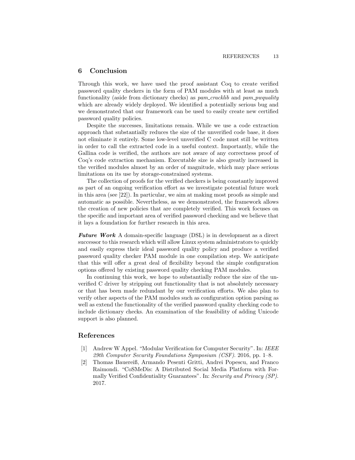## 6 Conclusion

Through this work, we have used the proof assistant Coq to create verified password quality checkers in the form of PAM modules with at least as much functionality (aside from dictionary checks) as  $pam\_cracklib$  and  $pam\_pwyuality$ which are already widely deployed. We identified a potentially serious bug and we demonstrated that our framework can be used to easily create new certified password quality policies.

Despite the successes, limitations remain. While we use a code extraction approach that substantially reduces the size of the unverified code base, it does not eliminate it entirely. Some low-level unverified C code must still be written in order to call the extracted code in a useful context. Importantly, while the Gallina code is verified, the authors are not aware of any correctness proof of Coq's code extraction mechanism. Executable size is also greatly increased in the verified modules almost by an order of magnitude, which may place serious limitations on its use by storage-constrained systems.

The collection of proofs for the verified checkers is being constantly improved as part of an ongoing verification effort as we investigate potential future work in this area (see [22]). In particular, we aim at making most proofs as simple and automatic as possible. Nevertheless, as we demonstrated, the framework allows the creation of new policies that are completely verified. This work focuses on the specific and important area of verified password checking and we believe that it lays a foundation for further research in this area.

Future Work A domain-specific language (DSL) is in development as a direct successor to this research which will allow Linux system administrators to quickly and easily express their ideal password quality policy and produce a verified password quality checker PAM module in one compilation step. We anticipate that this will offer a great deal of flexibility beyond the simple configuration options offered by existing password quality checking PAM modules.

In continuing this work, we hope to substantially reduce the size of the unverified C driver by stripping out functionality that is not absolutely necessary or that has been made redundant by our verification efforts. We also plan to verify other aspects of the PAM modules such as configuration option parsing as well as extend the functionality of the verified password quality checking code to include dictionary checks. An examination of the feasibility of adding Unicode support is also planned.

## References

- [1] Andrew W Appel. "Modular Verification for Computer Security". In: IEEE 29th Computer Security Foundations Symposium (CSF). 2016, pp. 1–8.
- [2] Thomas Bauereiß, Armando Pesenti Gritti, Andrei Popescu, and Franco Raimondi. "CoSMeDis: A Distributed Social Media Platform with Formally Verified Confidentiality Guarantees". In: Security and Privacy (SP). 2017.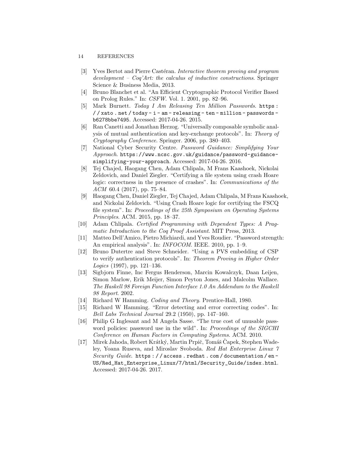#### 14 REFERENCES

- [3] Yves Bertot and Pierre Castéran. Interactive theorem proving and program development –  $Cog'Art:$  the calculus of inductive constructions. Springer Science & Business Media, 2013.
- [4] Bruno Blanchet et al. "An Efficient Cryptographic Protocol Verifier Based on Prolog Rules." In: CSFW. Vol. 1. 2001, pp. 82–96.
- [5] Mark Burnett. Today I Am Releasing Ten Million Passwords. https : / / xato . net / today - i - am - releasing - ten - million - passwords b6278bbe7495. Accessed: 2017-04-26. 2015.
- [6] Ran Canetti and Jonathan Herzog. "Universally composable symbolic analysis of mutual authentication and key-exchange protocols". In: Theory of Cryptography Conference. Springer. 2006, pp. 380–403.
- [7] National Cyber Security Centre. Password Guidance: Simplifying Your Approach. https://www.ncsc.gov.uk/guidance/password-guidancesimplifying-your-approach. Accessed: 2017-04-26. 2016.
- [8] Tej Chajed, Haogang Chen, Adam Chlipala, M Frans Kaashoek, Nickolai Zeldovich, and Daniel Ziegler. "Certifying a file system using crash Hoare logic: correctness in the presence of crashes". In: Communications of the ACM 60.4 (2017), pp. 75–84.
- [9] Haogang Chen, Daniel Ziegler, Tej Chajed, Adam Chlipala, M Frans Kaashoek, and Nickolai Zeldovich. "Using Crash Hoare logic for certifying the FSCQ file system". In: Proceedings of the 25th Symposium on Operating Systems Principles. ACM. 2015, pp. 18–37.
- [10] Adam Chlipala. Certified Programming with Dependent Types: A Pragmatic Introduction to the Coq Proof Assistant. MIT Press, 2013.
- [11] Matteo Dell'Amico, Pietro Michiardi, and Yves Roudier. "Password strength: An empirical analysis". In: *INFOCOM*. IEEE. 2010, pp. 1–9.
- [12] Bruno Dutertre and Steve Schneider. "Using a PVS embedding of CSP to verify authentication protocols". In: Theorem Proving in Higher Order Logics (1997), pp. 121–136.
- [13] Sigbjorn Finne, Inc Fergus Henderson, Marcin Kowalczyk, Daan Leijen, Simon Marlow, Erik Meijer, Simon Peyton Jones, and Malcolm Wallace. The Haskell 98 Foreign Function Interface 1.0 An Addendum to the Haskell 98 Report. 2002.
- [14] Richard W Hamming. *Coding and Theory*. Prentice-Hall, 1980.
- [15] Richard W Hamming. "Error detecting and error correcting codes". In: Bell Labs Technical Journal 29.2 (1950), pp. 147–160.
- [16] Philip G Inglesant and M Angela Sasse. "The true cost of unusable password policies: password use in the wild". In: Proceedings of the SIGCHI Conference on Human Factors in Computing Systems. ACM. 2010.
- [17] Mirek Jahoda, Robert Krátký, Martin Prpič, Tomáš Čapek, Stephen Wadeley, Yoana Ruseva, and Miroslav Svoboda. Red Hat Enterprise Linux 7 Security Guide. https : / / access . redhat . com / documentation / en - US/Red\_Hat\_Enterprise\_Linux/7/html/Security\_Guide/index.html. Accessed: 2017-04-26. 2017.